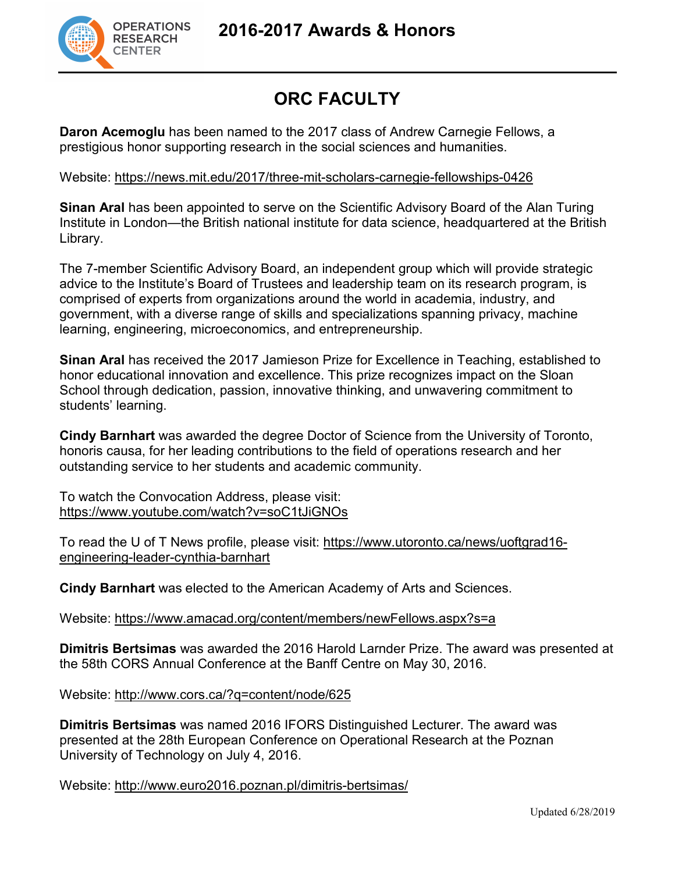

## **ORC FACULTY**

**Daron Acemoglu** has been named to the 2017 class of Andrew Carnegie Fellows, a prestigious honor supporting research in the social sciences and humanities.

Website:<https://news.mit.edu/2017/three-mit-scholars-carnegie-fellowships-0426>

**Sinan Aral** has been appointed to serve on the Scientific Advisory Board of the Alan Turing Institute in London—the British national institute for data science, headquartered at the British Library.

The 7-member Scientific Advisory Board, an independent group which will provide strategic advice to the Institute's Board of Trustees and leadership team on its research program, is comprised of experts from organizations around the world in academia, industry, and government, with a diverse range of skills and specializations spanning privacy, machine learning, engineering, microeconomics, and entrepreneurship.

**Sinan Aral** has received the 2017 Jamieson Prize for Excellence in Teaching, established to honor educational innovation and excellence. This prize recognizes impact on the Sloan School through dedication, passion, innovative thinking, and unwavering commitment to students' learning.

**Cindy Barnhart** was awarded the degree Doctor of Science from the University of Toronto, honoris causa, for her leading contributions to the field of operations research and her outstanding service to her students and academic community.

To watch the Convocation Address, please visit: <https://www.youtube.com/watch?v=soC1tJiGNOs>

To read the U of T News profile, please visit: [https://www.utoronto.ca/news/uoftgrad16](https://www.utoronto.ca/news/uoftgrad16-engineering-leader-cynthia-barnhart) [engineering-leader-cynthia-barnhart](https://www.utoronto.ca/news/uoftgrad16-engineering-leader-cynthia-barnhart)

**Cindy Barnhart** was elected to the American Academy of Arts and Sciences.

Website:<https://www.amacad.org/content/members/newFellows.aspx?s=a>

**Dimitris Bertsimas** was awarded the 2016 Harold Larnder Prize. The award was presented at the 58th CORS Annual Conference at the Banff Centre on May 30, 2016.

Website:<http://www.cors.ca/?q=content/node/625>

**Dimitris Bertsimas** was named 2016 IFORS Distinguished Lecturer. The award was presented at the 28th European Conference on Operational Research at the Poznan University of Technology on July 4, 2016.

Website:<http://www.euro2016.poznan.pl/dimitris-bertsimas/>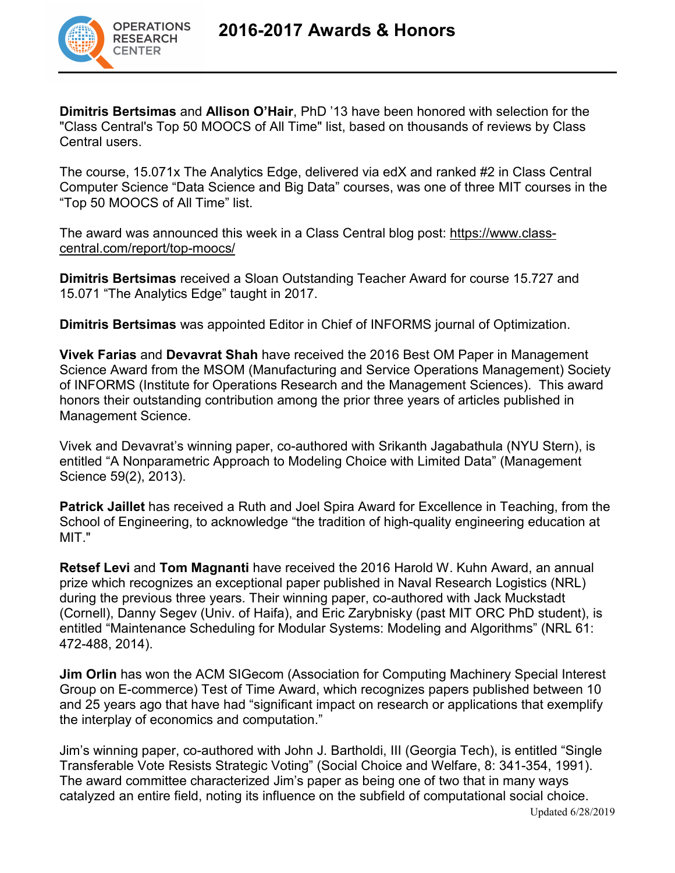

**Dimitris Bertsimas** and **Allison O'Hair**, PhD '13 have been honored with selection for the "Class Central's Top 50 MOOCS of All Time" list, based on thousands of reviews by Class Central users.

The course, 15.071x The Analytics Edge, delivered via edX and ranked #2 in Class Central Computer Science "Data Science and Big Data" courses, was one of three MIT courses in the "Top 50 MOOCS of All Time" list.

The award was announced this week in a Class Central blog post: [https://www.class](https://www.class-central.com/report/top-moocs/)[central.com/report/top-moocs/](https://www.class-central.com/report/top-moocs/)

**Dimitris Bertsimas** received a Sloan Outstanding Teacher Award for course 15.727 and 15.071 "The Analytics Edge" taught in 2017.

**Dimitris Bertsimas** was appointed Editor in Chief of INFORMS journal of Optimization.

**Vivek Farias** and **Devavrat Shah** have received the 2016 Best OM Paper in Management Science Award from the MSOM (Manufacturing and Service Operations Management) Society of INFORMS (Institute for Operations Research and the Management Sciences). This award honors their outstanding contribution among the prior three years of articles published in Management Science.

Vivek and Devavrat's winning paper, co-authored with Srikanth Jagabathula (NYU Stern), is entitled "A Nonparametric Approach to Modeling Choice with Limited Data" (Management Science 59(2), 2013).

**Patrick Jaillet** has received a Ruth and Joel Spira Award for Excellence in Teaching, from the School of Engineering, to acknowledge "the tradition of high-quality engineering education at MIT."

**Retsef Levi** and **Tom Magnanti** have received the 2016 Harold W. Kuhn Award, an annual prize which recognizes an exceptional paper published in Naval Research Logistics (NRL) during the previous three years. Their winning paper, co-authored with Jack Muckstadt (Cornell), Danny Segev (Univ. of Haifa), and Eric Zarybnisky (past MIT ORC PhD student), is entitled "Maintenance Scheduling for Modular Systems: Modeling and Algorithms" (NRL 61: 472-488, 2014).

**Jim Orlin** has won the ACM SIGecom (Association for Computing Machinery Special Interest Group on E-commerce) Test of Time Award, which recognizes papers published between 10 and 25 years ago that have had "significant impact on research or applications that exemplify the interplay of economics and computation."

Jim's winning paper, co-authored with John J. Bartholdi, III (Georgia Tech), is entitled "Single Transferable Vote Resists Strategic Voting" (Social Choice and Welfare, 8: 341-354, 1991). The award committee characterized Jim's paper as being one of two that in many ways catalyzed an entire field, noting its influence on the subfield of computational social choice.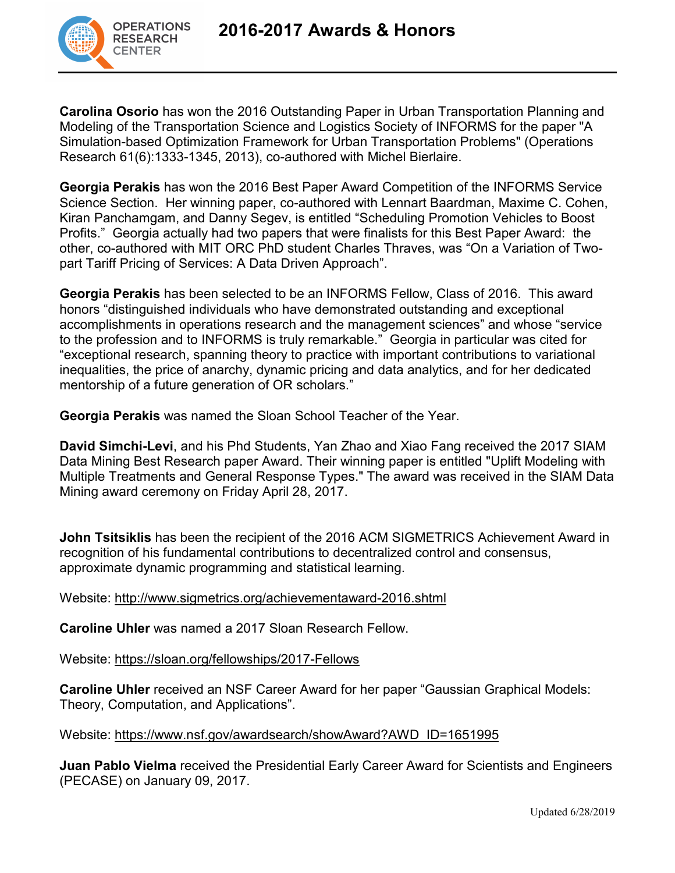

**Carolina Osorio** has won the 2016 Outstanding Paper in Urban Transportation Planning and Modeling of the Transportation Science and Logistics Society of INFORMS for the paper "A Simulation-based Optimization Framework for Urban Transportation Problems" (Operations Research 61(6):1333-1345, 2013), co-authored with Michel Bierlaire.

**Georgia Perakis** has won the 2016 Best Paper Award Competition of the INFORMS Service Science Section. Her winning paper, co-authored with Lennart Baardman, Maxime C. Cohen, Kiran Panchamgam, and Danny Segev, is entitled "Scheduling Promotion Vehicles to Boost Profits." Georgia actually had two papers that were finalists for this Best Paper Award: the other, co-authored with MIT ORC PhD student Charles Thraves, was "On a Variation of Twopart Tariff Pricing of Services: A Data Driven Approach".

**Georgia Perakis** has been selected to be an INFORMS Fellow, Class of 2016. This award honors "distinguished individuals who have demonstrated outstanding and exceptional accomplishments in operations research and the management sciences" and whose "service to the profession and to INFORMS is truly remarkable." Georgia in particular was cited for "exceptional research, spanning theory to practice with important contributions to variational inequalities, the price of anarchy, dynamic pricing and data analytics, and for her dedicated mentorship of a future generation of OR scholars."

**Georgia Perakis** was named the Sloan School Teacher of the Year.

**David Simchi-Levi**, and his Phd Students, Yan Zhao and Xiao Fang received the 2017 SIAM Data Mining Best Research paper Award. Their winning paper is entitled "Uplift Modeling with Multiple Treatments and General Response Types." The award was received in the SIAM Data Mining award ceremony on Friday April 28, 2017.

**John Tsitsiklis** has been the recipient of the 2016 ACM SIGMETRICS Achievement Award in recognition of his fundamental contributions to decentralized control and consensus, approximate dynamic programming and statistical learning.

Website:<http://www.sigmetrics.org/achievementaward-2016.shtml>

**Caroline Uhler** was named a 2017 Sloan Research Fellow.

Website:<https://sloan.org/fellowships/2017-Fellows>

**Caroline Uhler** received an NSF Career Award for her paper "Gaussian Graphical Models: Theory, Computation, and Applications".

Website: [https://www.nsf.gov/awardsearch/showAward?AWD\\_ID=1651995](https://www.nsf.gov/awardsearch/showAward?AWD_ID=1651995)

**Juan Pablo Vielma** received the Presidential Early Career Award for Scientists and Engineers (PECASE) on January 09, 2017.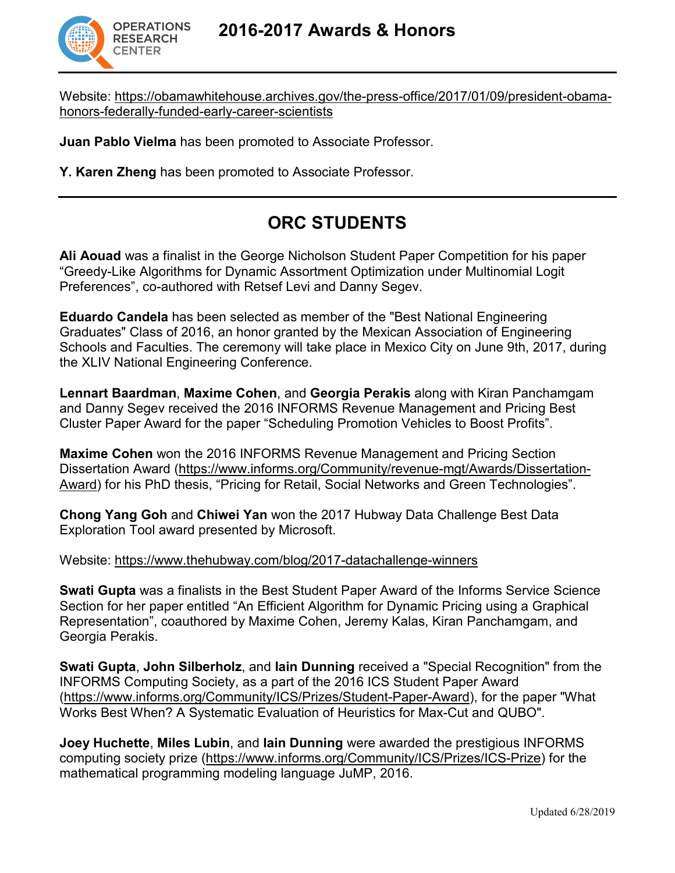

Website: [https://obamawhitehouse.archives.gov/the-press-office/2017/01/09/president-obama](https://obamawhitehouse.archives.gov/the-press-office/2017/01/09/president-obama-honors-federally-funded-early-career-scientists)[honors-federally-funded-early-career-scientists](https://obamawhitehouse.archives.gov/the-press-office/2017/01/09/president-obama-honors-federally-funded-early-career-scientists)

**Juan Pablo Vielma** has been promoted to Associate Professor.

**Y. Karen Zheng** has been promoted to Associate Professor.

## **ORC STUDENTS**

**Ali Aouad** was a finalist in the George Nicholson Student Paper Competition for his paper "Greedy-Like Algorithms for Dynamic Assortment Optimization under Multinomial Logit Preferences", co-authored with Retsef Levi and Danny Segev.

**Eduardo Candela** has been selected as member of the "Best National Engineering Graduates" Class of 2016, an honor granted by the Mexican Association of Engineering Schools and Faculties. The ceremony will take place in Mexico City on June 9th, 2017, during the XLIV National Engineering Conference.

**Lennart Baardman**, **Maxime Cohen**, and **Georgia Perakis** along with Kiran Panchamgam and Danny Segev received the 2016 INFORMS Revenue Management and Pricing Best Cluster Paper Award for the paper "Scheduling Promotion Vehicles to Boost Profits".

**Maxime Cohen** won the 2016 INFORMS Revenue Management and Pricing Section Dissertation Award [\(https://www.informs.org/Community/revenue-mgt/Awards/Dissertation-](https://www.informs.org/Community/revenue-mgt/Awards/Dissertation-Award)[Award\)](https://www.informs.org/Community/revenue-mgt/Awards/Dissertation-Award) for his PhD thesis, "Pricing for Retail, Social Networks and Green Technologies".

**Chong Yang Goh** and **Chiwei Yan** won the 2017 Hubway Data Challenge Best Data Exploration Tool award presented by Microsoft.

Website:<https://www.thehubway.com/blog/2017-datachallenge-winners>

**Swati Gupta** was a finalists in the Best Student Paper Award of the Informs Service Science Section for her paper entitled "An Efficient Algorithm for Dynamic Pricing using a Graphical Representation", coauthored by Maxime Cohen, Jeremy Kalas, Kiran Panchamgam, and Georgia Perakis.

**Swati Gupta**, **John Silberholz**, and **Iain Dunning** received a "Special Recognition" from the INFORMS Computing Society, as a part of the 2016 ICS Student Paper Award [\(https://www.informs.org/Community/ICS/Prizes/Student-Paper-Award\)](https://www.informs.org/Community/ICS/Prizes/Student-Paper-Award), for the paper "What Works Best When? A Systematic Evaluation of Heuristics for Max-Cut and QUBO".

**Joey Huchette**, **Miles Lubin**, and **Iain Dunning** were awarded the prestigious INFORMS computing society prize [\(https://www.informs.org/Community/ICS/Prizes/ICS-Prize\)](https://www.informs.org/Community/ICS/Prizes/ICS-Prize) for the mathematical programming modeling language JuMP, 2016.